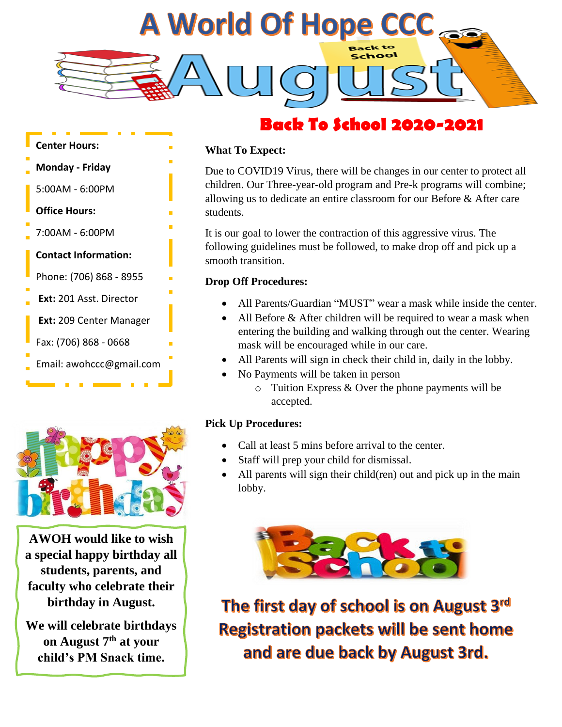

# **Back To School 2020-2021**





**AWOH would like to wish a special happy birthday all students, parents, and faculty who celebrate their birthday in August.**

**We will celebrate birthdays on August 7th at your child's PM Snack time.**

#### **What To Expect:**

Due to COVID19 Virus, there will be changes in our center to protect all children. Our Three-year-old program and Pre-k programs will combine; allowing us to dedicate an entire classroom for our Before & After care students.

It is our goal to lower the contraction of this aggressive virus. The following guidelines must be followed, to make drop off and pick up a smooth transition.

#### **Drop Off Procedures:**

- All Parents/Guardian "MUST" wear a mask while inside the center.
- All Before & After children will be required to wear a mask when entering the building and walking through out the center. Wearing mask will be encouraged while in our care.
- All Parents will sign in check their child in, daily in the lobby.
- No Payments will be taken in person
	- $\circ$  Tuition Express & Over the phone payments will be accepted.

### **Pick Up Procedures:**

- Call at least 5 mins before arrival to the center.
- Can at least 5 hims before arrival to the<br>• Staff will prep your child for dismissal.
- • All parents will sign their child(ren) out and pick up in the main lobby.



The first day of school is on August 3rd **Registration packets will be sent home** and are due back by August 3rd.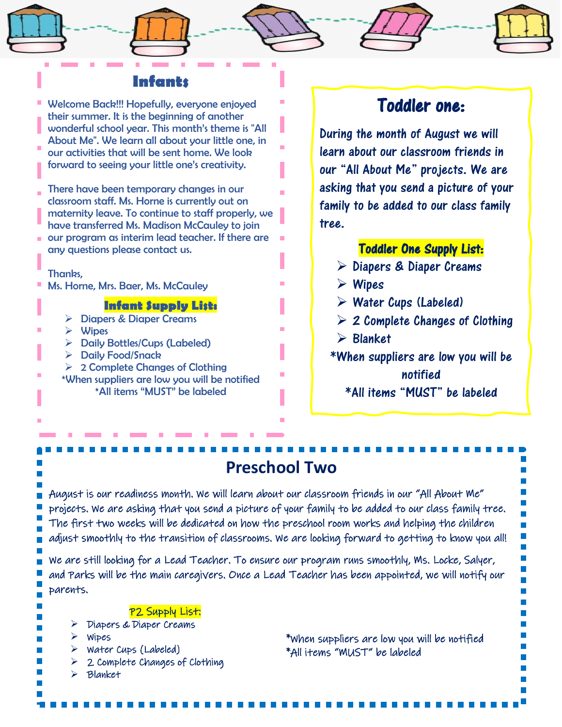### **Infants**

Welcome Back!!! Hopefully, everyone enjoyed their summer. It is the beginning of another wonderful school year. This month's theme is "All About Me". We learn all about your little one, in our activities that will be sent home. We look forward to seeing your little one's creativity.

There have been temporary changes in our classroom staff. Ms. Horne is currently out on maternity leave. To continue to staff properly, we have transferred Ms. Madison McCauley to join

our program as interim lead teacher. If there are any questions please contact us.

#### Thanks,

Ms. Horne, Mrs. Baer, Ms. McCauley

#### **Infant Supply List:**

- ➢ Diapers & Diaper Creams
- ➢ Wipes
- ➢ Daily Bottles/Cups (Labeled)
- ➢ Daily Food/Snack
- $\geq 2$  Complete Changes of Clothing \*When suppliers are low you will be notified
	- \*All items "MUST" be labeled

## Toddler one:

During the month of August we will learn about our classroom friends in our "All About Me" projects. We are asking that you send a picture of your family to be added to our class family tree.

### Toddler One Supply List:

- ➢ Diapers & Diaper Creams
- ➢ Wipes
- $\triangleright$  Water Cups (Labeled)
- $\geqslant$  2 Complete Changes of Clothing
- ➢ Blanket
- \*When suppliers are low you will be notified

\*All items "MUST" be labeled

# **Preschool Two**

August is our readiness month. We will learn about our classroom friends in our "All About Me" projects. We are asking that you send a picture of your family to be added to our class family tree. The first two weeks will be dedicated on how the preschool room works and helping the children adjust smoothly to the transition of classrooms. We are looking forward to getting to know you all!

We are still looking for a Lead Teacher. To ensure our program runs smoothly, Ms. Locke, Salyer, and Parks will be the main caregivers. Once a Lead Teacher has been appointed, we will notify our parents.

#### P2 Supply List:

- ➢ Diapers & Diaper Creams
- ➢ Wipes
- ➢ Water Cups (Labeled)
- $\geq$  2 Complete Changes of Clothing
	- ➢ Blanket

í

\*When suppliers are low you will be notified \*All items "MUST" be labeled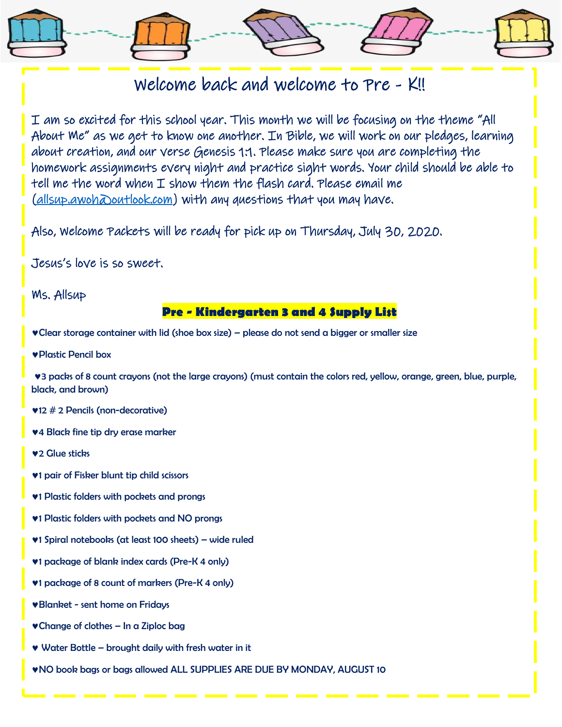# Welcome back and welcome to Pre - K!!

I am so excited for this school year. This month we will be focusing on the theme "All About Me" as we get to know one another. In Bible, we will work on our pledges, learning about creation, and our verse Genesis 1:1. Please make sure you are completing the homework assignments every night and practice sight words. Your child should be able to tell me the word when  $I$  show them the flash card. Please email me  $(alsup.awoh\Delta outlook.com)$  with any questions that you may have.

Also, Welcome Packets will be ready for pick up on Thursday, July 30, 2020.

Jesus's love is so sweet.

Ms. Allsup

### **Pre - Kindergarten 3 and 4 Supply List**

Clear storage container with lid (shoe box size) – please do not send a bigger or smaller size

Plastic Pencil box

3 packs of 8 count crayons (not the large crayons) (must contain the colors red, yellow, orange, green, blue, purple, black, and brown)

12 # 2 Pencils (non-decorative)

4 Black fine tip dry erase marker

**v<sub>2</sub>** Glue sticks

- 1 pair of Fisker blunt tip child scissors
- **v1 Plastic folders with pockets and prongs**
- **v1 Plastic folders with pockets and NO prongs**
- 1 Spiral notebooks (at least 100 sheets) wide ruled
- 1 package of blank index cards (Pre-K 4 only)
- 1 package of 8 count of markers (Pre-K 4 only)
- Blanket sent home on Fridays
- Change of clothes In a Ziploc bag
- Water Bottle brought daily with fresh water in it
- NO book bags or bags allowed ALL SUPPLIES ARE DUE BY MONDAY, AUGUST 10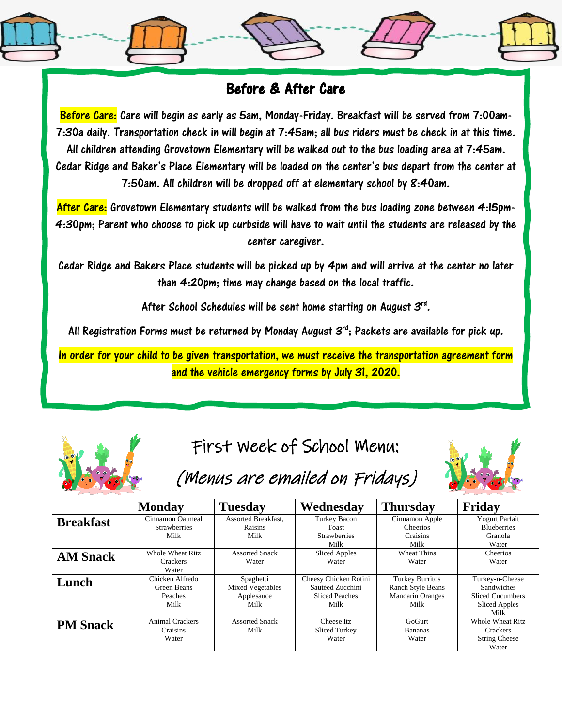## Before & After Care

Before Care: Care will begin as early as 5am, Monday-Friday. Breakfast will be served from 7:00am-7:30a daily. Transportation check in will begin at 7:45am; all bus riders must be check in at this time. All children attending Grovetown Elementary will be walked out to the bus loading area at 7:45am. Cedar Ridge and Baker's Place Elementary will be loaded on the center's bus depart from the center at 7:50am. All children will be dropped off at elementary school by 8:40am.

After Care: Grovetown Elementary students will be walked from the bus loading zone between 4:15pm-4:30pm; Parent who choose to pick up curbside will have to wait until the students are released by the center caregiver.

Cedar Ridge and Bakers Place students will be picked up by 4pm and will arrive at the center no later than 4:20pm; time may change based on the local traffic.

After School Schedules will be sent home starting on August 3rd.

All Registration Forms must be returned by Monday August  $\mathcal{S}^{\text{rd}}$ ; Packets are available for pick up.

In order for your child to be given transportation, we must receive the transportation agreement form and the vehicle emergency forms by July 31, 2020.



# First Week of School Menu:



# (Menus are emailed on Fridays)

|                  | <b>Monday</b>                                     | <b>Tuesday</b>                                             | Wednesday                                                                  | <b>Thursday</b>                                                                | Friday                                                                                          |
|------------------|---------------------------------------------------|------------------------------------------------------------|----------------------------------------------------------------------------|--------------------------------------------------------------------------------|-------------------------------------------------------------------------------------------------|
| <b>Breakfast</b> | Cinnamon Oatmeal<br><b>Strawberries</b><br>Milk   | Assorted Breakfast,<br><b>Raisins</b><br>Milk              | <b>Turkey Bacon</b><br>Toast<br><b>Strawberries</b><br>Milk                | Cinnamon Apple<br><b>Cheerios</b><br>Craisins<br>Milk                          | <b>Yogurt Parfait</b><br><b>Blueberries</b><br>Granola<br>Water                                 |
| <b>AM Snack</b>  | Whole Wheat Ritz<br><b>Crackers</b><br>Water      | <b>Assorted Snack</b><br>Water                             | <b>Sliced Apples</b><br>Water                                              | Wheat Thins<br>Water                                                           | Cheerios<br>Water                                                                               |
| Lunch            | Chicken Alfredo<br>Green Beans<br>Peaches<br>Milk | Spaghetti<br><b>Mixed Vegetables</b><br>Applesauce<br>Milk | Cheesy Chicken Rotini<br>Sautéed Zucchini<br><b>Sliced Peaches</b><br>Milk | <b>Turkey Burritos</b><br>Ranch Style Beans<br><b>Mandarin Oranges</b><br>Milk | Turkey-n-Cheese<br><b>Sandwiches</b><br><b>Sliced Cucumbers</b><br><b>Sliced Apples</b><br>Milk |
| <b>PM Snack</b>  | <b>Animal Crackers</b><br>Craisins<br>Water       | <b>Assorted Snack</b><br>Milk                              | Cheese Itz<br>Sliced Turkey<br>Water                                       | GoGurt<br><b>Bananas</b><br>Water                                              | <b>Whole Wheat Ritz</b><br><b>Crackers</b><br><b>String Cheese</b><br>Water                     |